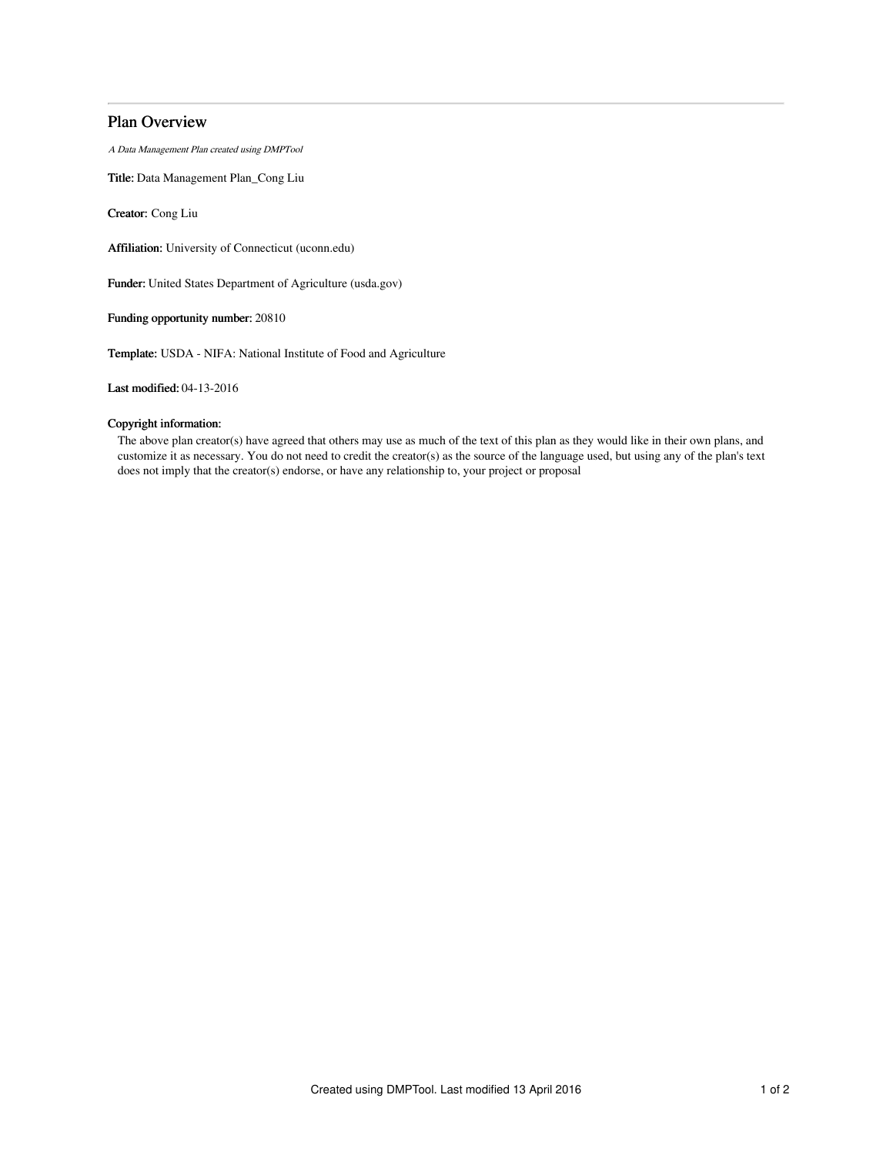# Plan Overview

A Data Management Plan created using DMPTool

Title: Data Management Plan\_Cong Liu

Creator: Cong Liu

Affiliation: University of Connecticut (uconn.edu)

Funder: United States Department of Agriculture (usda.gov)

Funding opportunity number: 20810

Template: USDA - NIFA: National Institute of Food and Agriculture

Last modified: 04-13-2016

# Copyright information:

The above plan creator(s) have agreed that others may use as much of the text of this plan as they would like in their own plans, and customize it as necessary. You do not need to credit the creator(s) as the source of the language used, but using any of the plan's text does not imply that the creator(s) endorse, or have any relationship to, your project or proposal